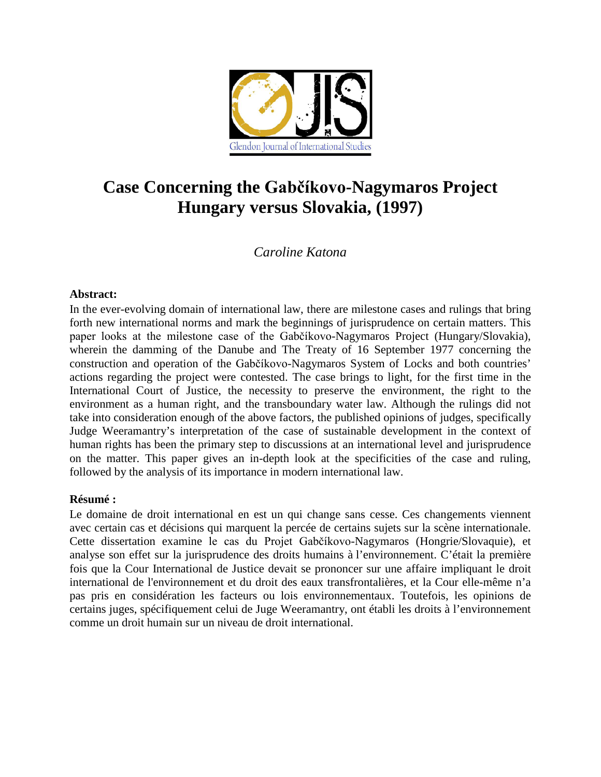

# **Case Concerning the Gabčíkovo-Nagymaros Project Hungary versus Slovakia, (1997)**

# *Caroline Katona*

# **Abstract:**

In the ever-evolving domain of international law, there are milestone cases and rulings that bring forth new international norms and mark the beginnings of jurisprudence on certain matters. This paper looks at the milestone case of the Gabčíkovo-Nagymaros Project (Hungary/Slovakia), wherein the damming of the Danube and The Treaty of 16 September 1977 concerning the construction and operation of the Gabčíkovo-Nagymaros System of Locks and both countries' actions regarding the project were contested. The case brings to light, for the first time in the International Court of Justice, the necessity to preserve the environment, the right to the environment as a human right, and the transboundary water law. Although the rulings did not take into consideration enough of the above factors, the published opinions of judges, specifically Judge Weeramantry's interpretation of the case of sustainable development in the context of human rights has been the primary step to discussions at an international level and jurisprudence on the matter. This paper gives an in-depth look at the specificities of the case and ruling, followed by the analysis of its importance in modern international law.

# **Résumé :**

Le domaine de droit international en est un qui change sans cesse. Ces changements viennent avec certain cas et décisions qui marquent la percée de certains sujets sur la scène internationale. Cette dissertation examine le cas du Projet Gabčíkovo-Nagymaros (Hongrie/Slovaquie), et analyse son effet sur la jurisprudence des droits humains à l'environnement. C'était la première fois que la Cour International de Justice devait se prononcer sur une affaire impliquant le droit international de l'environnement et du droit des eaux transfrontalières, et la Cour elle-même n'a pas pris en considération les facteurs ou lois environnementaux. Toutefois, les opinions de certains juges, spécifiquement celui de Juge Weeramantry, ont établi les droits à l'environnement comme un droit humain sur un niveau de droit international.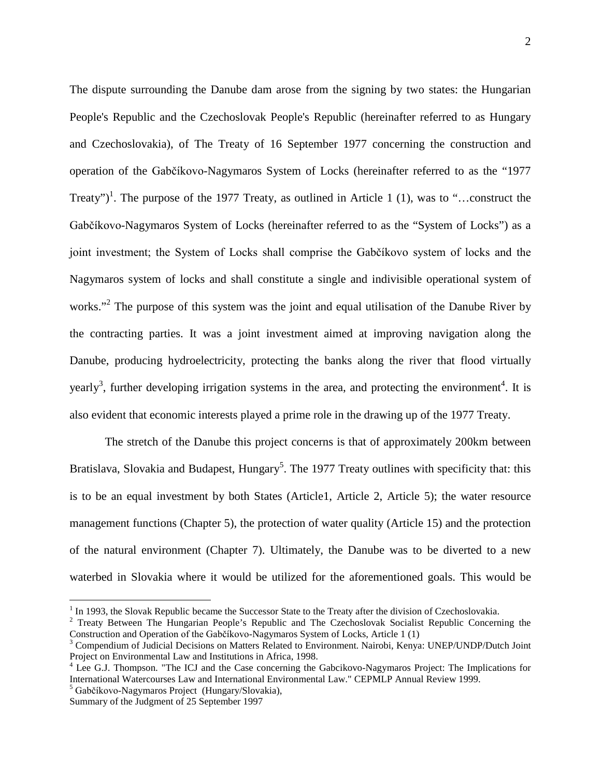The dispute surrounding the Danube dam arose from the signing by two states: the Hungarian People's Republic and the Czechoslovak People's Republic (hereinafter referred to as Hungary and Czechoslovakia), of The Treaty of 16 September 1977 concerning the construction and operation of the Gabčíkovo-Nagymaros System of Locks (hereinafter referred to as the "1977 Treaty")<sup>1</sup>. The purpose of the 1977 Treaty, as outlined in Article 1 (1), was to "...construct the Gabčíkovo-Nagymaros System of Locks (hereinafter referred to as the "System of Locks") as a joint investment; the System of Locks shall comprise the Gabčíkovo system of locks and the Nagymaros system of locks and shall constitute a single and indivisible operational system of works."<sup>2</sup> The purpose of this system was the joint and equal utilisation of the Danube River by the contracting parties. It was a joint investment aimed at improving navigation along the Danube, producing hydroelectricity, protecting the banks along the river that flood virtually yearly<sup>3</sup>, further developing irrigation systems in the area, and protecting the environment<sup>4</sup>. It is also evident that economic interests played a prime role in the drawing up of the 1977 Treaty.

The stretch of the Danube this project concerns is that of approximately 200km between Bratislava, Slovakia and Budapest, Hungary<sup>5</sup>. The 1977 Treaty outlines with specificity that: this is to be an equal investment by both States (Article1, Article 2, Article 5); the water resource management functions (Chapter 5), the protection of water quality (Article 15) and the protection of the natural environment (Chapter 7). Ultimately, the Danube was to be diverted to a new waterbed in Slovakia where it would be utilized for the aforementioned goals. This would be

<sup>&</sup>lt;sup>1</sup> In 1993, the Slovak Republic became the Successor State to the Treaty after the division of Czechoslovakia. <sup>2</sup> Treaty Between The Hungarian People's Republic and The Czechoslovak Socialist Republic Concerning the Construction and Operation of the Gabčíkovo-Nagymaros System of Locks, Article 1 (1)<br><sup>3</sup> Compendium of Judicial Decisions on Matters Related to Environment. Nairobi, Kenya: UNEP/UNDP/Dutch Joint

Project on Environmental Law and Institutions in Africa, 1998.

<sup>&</sup>lt;sup>4</sup> Lee G.J. Thompson. "The ICJ and the Case concerning the Gabcikovo-Nagymaros Project: The Implications for International Watercourses Law and International Environmental Law." CEPMLP Annual Review 1999.<br><sup>5</sup> Gabčíkovo-Nagymaros Project (Hungary/Slovakia),

Summary of the Judgment of 25 September 1997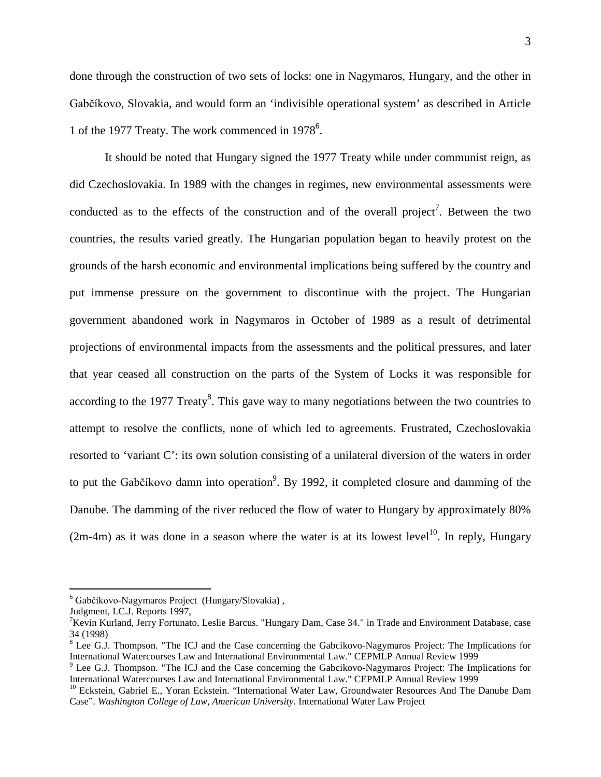done through the construction of two sets of locks: one in Nagymaros, Hungary, and the other in Gabčíkovo, Slovakia, and would form an 'indivisible operational system' as described in Article 1 of the 1977 Treaty. The work commenced in 1978<sup>6</sup>.

It should be noted that Hungary signed the 1977 Treaty while under communist reign, as did Czechoslovakia. In 1989 with the changes in regimes, new environmental assessments were conducted as to the effects of the construction and of the overall project<sup>7</sup>. Between the two countries, the results varied greatly. The Hungarian population began to heavily protest on the grounds of the harsh economic and environmental implications being suffered by the country and put immense pressure on the government to discontinue with the project. The Hungarian government abandoned work in Nagymaros in October of 1989 as a result of detrimental projections of environmental impacts from the assessments and the political pressures, and later that year ceased all construction on the parts of the System of Locks it was responsible for according to the 1977 Treaty<sup>8</sup>. This gave way to many negotiations between the two countries to attempt to resolve the conflicts, none of which led to agreements. Frustrated, Czechoslovakia resorted to 'variant C': its own solution consisting of a unilateral diversion of the waters in order to put the Gabčíkovo damn into operation<sup>9</sup>. By 1992, it completed closure and damming of the Danube. The damming of the river reduced the flow of water to Hungary by approximately 80%  $(2m-4m)$  as it was done in a season where the water is at its lowest level<sup>10</sup>. In reply, Hungary

 <sup>6</sup> Gabčíkovo-Nagymaros Project (Hungary/Slovakia) ,

Judgment, I.C.J. Reports 1997,

<sup>&</sup>lt;sup>7</sup>Kevin Kurland, Jerry Fortunato, Leslie Barcus. "Hungary Dam, Case 34." in Trade and Environment Database, case  $34$  (1998)<br><sup>8</sup> Lee G.J. Thompson. "The ICJ and the Case concerning the Gabcikovo-Nagymaros Project: The Implications for

International Watercourses Law and International Environmental Law." CEPMLP Annual Review 1999<br><sup>9</sup> Lee G.J. Thompson. "The ICJ and the Case concerning the Gabcikovo-Nagymaros Project: The Implications for<br>International Wat

<sup>&</sup>lt;sup>10</sup> Eckstein, Gabriel E., Yoran Eckstein. "International Water Law, Groundwater Resources And The Danube Dam Case". *Washington College of Law, American University.* International Water Law Project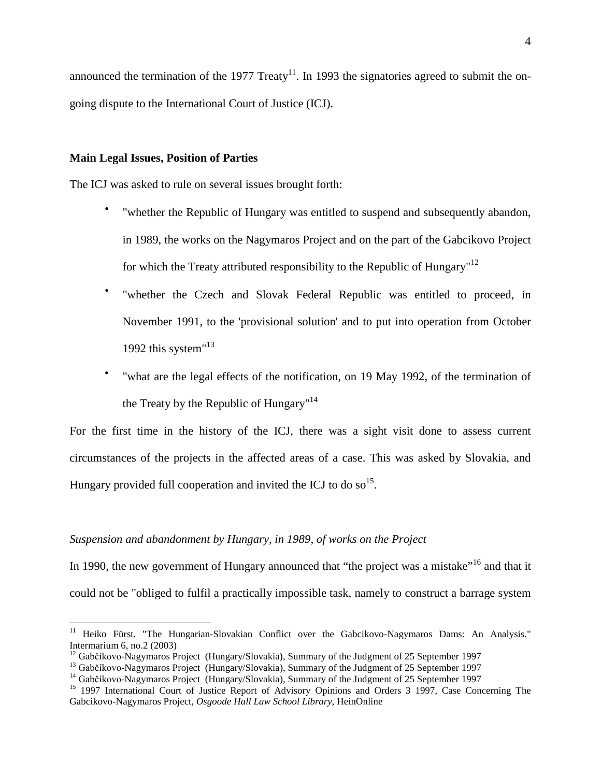announced the termination of the 1977 Treaty<sup>11</sup>. In 1993 the signatories agreed to submit the ongoing dispute to the International Court of Justice (ICJ).

#### **Main Legal Issues, Position of Parties**

The ICJ was asked to rule on several issues brought forth:

- "whether the Republic of Hungary was entitled to suspend and subsequently abandon, in 1989, the works on the Nagymaros Project and on the part of the Gabcikovo Project for which the Treaty attributed responsibility to the Republic of Hungary"<sup>12</sup>
- "whether the Czech and Slovak Federal Republic was entitled to proceed, in November 1991, to the 'provisional solution' and to put into operation from October 1992 this system"<sup>13</sup>
- "what are the legal effects of the notification, on 19 May 1992, of the termination of the Treaty by the Republic of Hungary<sup> $n^{14}$ </sup>

For the first time in the history of the ICJ, there was a sight visit done to assess current circumstances of the projects in the affected areas of a case. This was asked by Slovakia, and Hungary provided full cooperation and invited the ICJ to do so  $15$ .

## *Suspension and abandonment by Hungary, in 1989, of works on the Project*

In 1990, the new government of Hungary announced that "the project was a mistake"<sup>16</sup> and that it could not be "obliged to fulfil a practically impossible task, namely to construct a barrage system

<sup>&</sup>lt;sup>11</sup> Heiko Fürst. "The Hungarian-Slovakian Conflict over the Gabcikovo-Nagymaros Dams: An Analysis." Intermarium 6, no.2 (2003)<br><sup>12</sup> Gabčíkovo-Nagymaros Project (Hungary/Slovakia), Summary of the Judgment of 25 September 1997

<sup>&</sup>lt;sup>13</sup> Gabčíkovo-Nagymaros Project (Hungary/Slovakia), Summary of the Judgment of 25 September 1997<br><sup>14</sup> Gabčíkovo-Nagymaros Project (Hungary/Slovakia), Summary of the Judgment of 25 September 1997<br><sup>15</sup> 1997 International C

Gabcikovo-Nagymaros Project, *Osgoode Hall Law School Library*, HeinOnline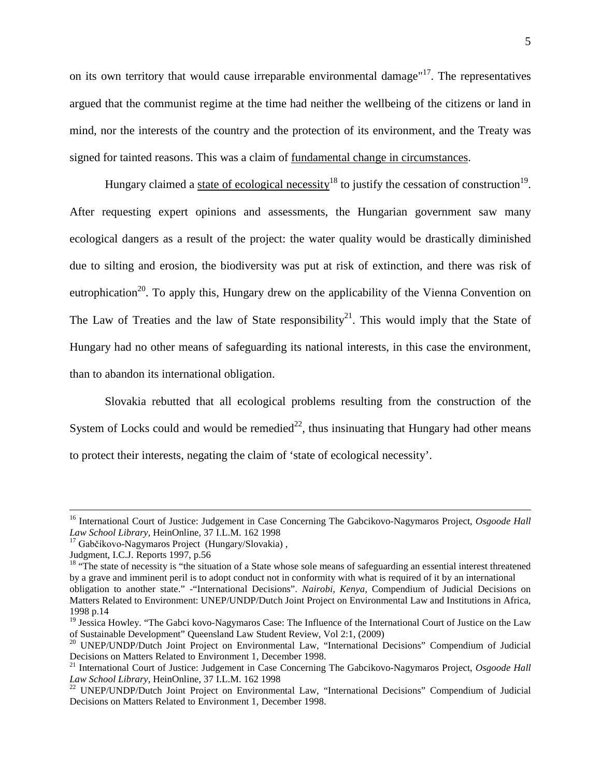on its own territory that would cause irreparable environmental damage"<sup>17</sup>. The representatives argued that the communist regime at the time had neither the wellbeing of the citizens or land in mind, nor the interests of the country and the protection of its environment, and the Treaty was signed for tainted reasons. This was a claim of fundamental change in circumstances.

Hungary claimed a state of ecological necessity<sup>18</sup> to justify the cessation of construction<sup>19</sup>. After requesting expert opinions and assessments, the Hungarian government saw many ecological dangers as a result of the project: the water quality would be drastically diminished due to silting and erosion, the biodiversity was put at risk of extinction, and there was risk of eutrophication<sup>20</sup>. To apply this, Hungary drew on the applicability of the Vienna Convention on The Law of Treaties and the law of State responsibility<sup>21</sup>. This would imply that the State of Hungary had no other means of safeguarding its national interests, in this case the environment, than to abandon its international obligation.

Slovakia rebutted that all ecological problems resulting from the construction of the System of Locks could and would be remedied<sup>22</sup>, thus insinuating that Hungary had other means to protect their interests, negating the claim of 'state of ecological necessity'.

<sup>&</sup>lt;sup>16</sup> International Court of Justice: Judgement in Case Concerning The Gabcikovo-Nagymaros Project, *Osgoode Hall Law School Library*, HeinOnline, 37 I.L.M. 162 1998

<sup>&</sup>lt;sup>17</sup> Gabčíkovo-Nagymaros Project (Hungary/Slovakia),

Judgment, I.C.J. Reports 1997, p.56

<sup>&</sup>lt;sup>18</sup> "The state of necessity is "the situation of a State whose sole means of safeguarding an essential interest threatened by a grave and imminent peril is to adopt conduct not in conformity with what is required of it by an international obligation to another state." -"International Decisions". *Nairobi, Kenya,* Compendium of Judicial Decisions on Matters Related to Environment: UNEP/UNDP/Dutch Joint Project on Environmental Law and Institutions in Africa, 1998 p.14

<sup>&</sup>lt;sup>19</sup> Jessica Howley. "The Gabci kovo-Nagymaros Case: The Influence of the International Court of Justice on the Law of Sustainable Development" Queensland Law Student Review, Vol 2:1, (2009)

<sup>&</sup>lt;sup>20</sup> UNEP/UNDP/Dutch Joint Project on Environmental Law, "International Decisions" Compendium of Judicial Decisions on Matters Related to Environment 1, December 1998.

<sup>21</sup> International Court of Justice: Judgement in Case Concerning The Gabcikovo-Nagymaros Project, *Osgoode Hall Law School Library*, HeinOnline, 37 I.L.M. 162 1998<br><sup>22</sup> UNEP/UNDP/Dutch Joint Project on Environmental Law, "International Decisions" Compendium of Judicial

Decisions on Matters Related to Environment 1, December 1998.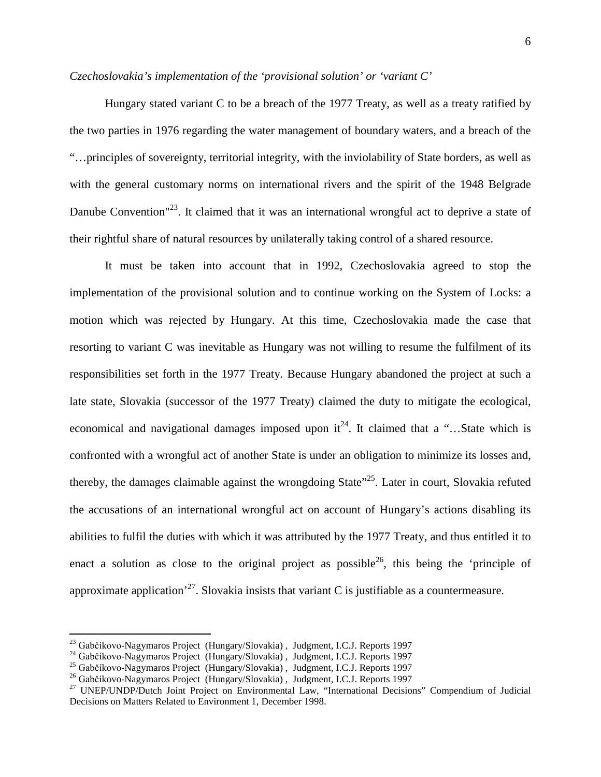# *Czechoslovakia's implementation of the 'provisional solution' or 'variant C'*

Hungary stated variant C to be a breach of the 1977 Treaty, as well as a treaty ratified by the two parties in 1976 regarding the water management of boundary waters, and a breach of the "…principles of sovereignty, territorial integrity, with the inviolability of State borders, as well as with the general customary norms on international rivers and the spirit of the 1948 Belgrade Danube Convention<sup>"23</sup>. It claimed that it was an international wrongful act to deprive a state of their rightful share of natural resources by unilaterally taking control of a shared resource.

It must be taken into account that in 1992, Czechoslovakia agreed to stop the implementation of the provisional solution and to continue working on the System of Locks: a motion which was rejected by Hungary. At this time, Czechoslovakia made the case that resorting to variant C was inevitable as Hungary was not willing to resume the fulfilment of its responsibilities set forth in the 1977 Treaty. Because Hungary abandoned the project at such a late state, Slovakia (successor of the 1977 Treaty) claimed the duty to mitigate the ecological, economical and navigational damages imposed upon  $it^{24}$ . It claimed that a "... State which is confronted with a wrongful act of another State is under an obligation to minimize its losses and, thereby, the damages claimable against the wrongdoing State<sup>"25</sup>. Later in court, Slovakia refuted the accusations of an international wrongful act on account of Hungary's actions disabling its abilities to fulfil the duties with which it was attributed by the 1977 Treaty, and thus entitled it to enact a solution as close to the original project as possible<sup>26</sup>, this being the 'principle of approximate application<sup> $27$ </sup>. Slovakia insists that variant C is justifiable as a countermeasure.

<sup>&</sup>lt;sup>23</sup> Gabčíkovo-Nagymaros Project (Hungary/Slovakia), Judgment, I.C.J. Reports 1997<br><sup>24</sup> Gabčíkovo-Nagymaros Project (Hungary/Slovakia), Judgment, I.C.J. Reports 1997<br><sup>25</sup> Gabčíkovo-Nagymaros Project (Hungary/Slovakia), Jud Decisions on Matters Related to Environment 1, December 1998.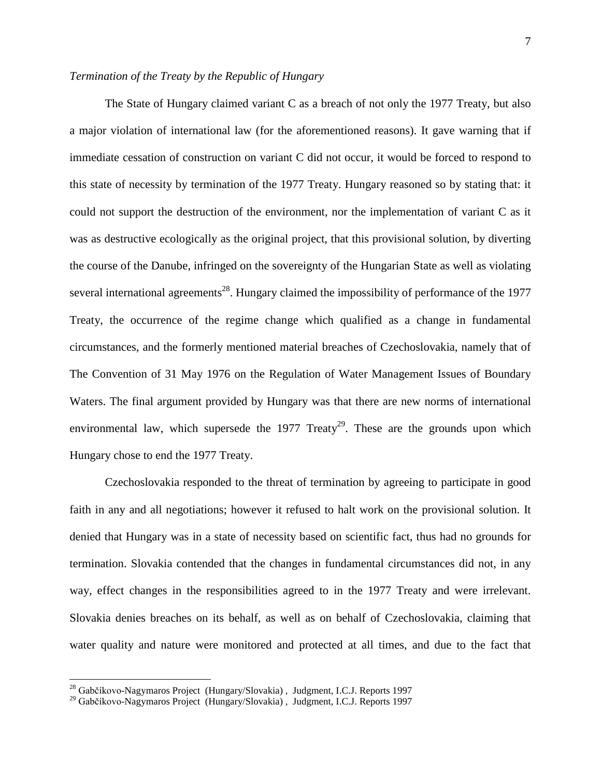# *Termination of the Treaty by the Republic of Hungary*

The State of Hungary claimed variant C as a breach of not only the 1977 Treaty, but also a major violation of international law (for the aforementioned reasons). It gave warning that if immediate cessation of construction on variant C did not occur, it would be forced to respond to this state of necessity by termination of the 1977 Treaty. Hungary reasoned so by stating that: it could not support the destruction of the environment, nor the implementation of variant C as it was as destructive ecologically as the original project, that this provisional solution, by diverting the course of the Danube, infringed on the sovereignty of the Hungarian State as well as violating several international agreements<sup>28</sup>. Hungary claimed the impossibility of performance of the 1977 Treaty, the occurrence of the regime change which qualified as a change in fundamental circumstances, and the formerly mentioned material breaches of Czechoslovakia, namely that of The Convention of 31 May 1976 on the Regulation of Water Management Issues of Boundary Waters. The final argument provided by Hungary was that there are new norms of international environmental law, which supersede the 1977  $Treaty<sup>29</sup>$ . These are the grounds upon which Hungary chose to end the 1977 Treaty.

Czechoslovakia responded to the threat of termination by agreeing to participate in good faith in any and all negotiations; however it refused to halt work on the provisional solution. It denied that Hungary was in a state of necessity based on scientific fact, thus had no grounds for termination. Slovakia contended that the changes in fundamental circumstances did not, in any way, effect changes in the responsibilities agreed to in the 1977 Treaty and were irrelevant. Slovakia denies breaches on its behalf, as well as on behalf of Czechoslovakia, claiming that water quality and nature were monitored and protected at all times, and due to the fact that

<sup>&</sup>lt;sup>28</sup> Gabčíkovo-Nagymaros Project (Hungary/Slovakia), Judgment, I.C.J. Reports 1997

<sup>29</sup> Gabčíkovo-Nagymaros Project (Hungary/Slovakia) , Judgment, I.C.J. Reports 1997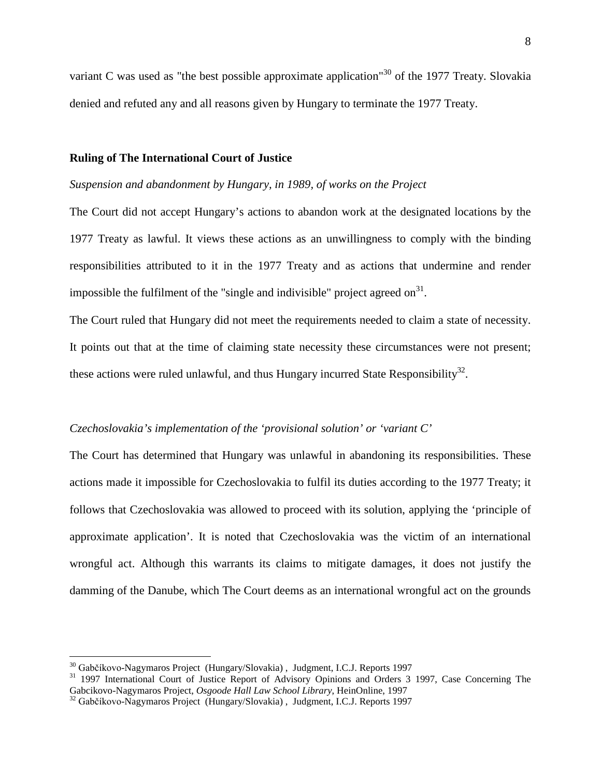variant C was used as "the best possible approximate application"<sup>30</sup> of the 1977 Treaty. Slovakia denied and refuted any and all reasons given by Hungary to terminate the 1977 Treaty.

#### **Ruling of The International Court of Justice**

#### *Suspension and abandonment by Hungary, in 1989, of works on the Project*

The Court did not accept Hungary's actions to abandon work at the designated locations by the 1977 Treaty as lawful. It views these actions as an unwillingness to comply with the binding responsibilities attributed to it in the 1977 Treaty and as actions that undermine and render impossible the fulfilment of the "single and indivisible" project agreed on $^{31}$ .

The Court ruled that Hungary did not meet the requirements needed to claim a state of necessity. It points out that at the time of claiming state necessity these circumstances were not present; these actions were ruled unlawful, and thus Hungary incurred State Responsibility<sup>32</sup>.

## *Czechoslovakia's implementation of the 'provisional solution' or 'variant C'*

The Court has determined that Hungary was unlawful in abandoning its responsibilities. These actions made it impossible for Czechoslovakia to fulfil its duties according to the 1977 Treaty; it follows that Czechoslovakia was allowed to proceed with its solution, applying the 'principle of approximate application'. It is noted that Czechoslovakia was the victim of an international wrongful act. Although this warrants its claims to mitigate damages, it does not justify the damming of the Danube, which The Court deems as an international wrongful act on the grounds

<sup>&</sup>lt;sup>30</sup> Gabčíkovo-Nagymaros Project (Hungary/Slovakia), Judgment, I.C.J. Reports 1997<br><sup>31</sup> 1997 International Court of Justice Report of Advisory Opinions and Orders 3 1997, Case Concerning The<br>Gabcikovo-Nagymaros Project,

<sup>&</sup>lt;sup>32</sup> Gabčíkovo-Nagymaros Project (Hungary/Slovakia), Judgment, I.C.J. Reports 1997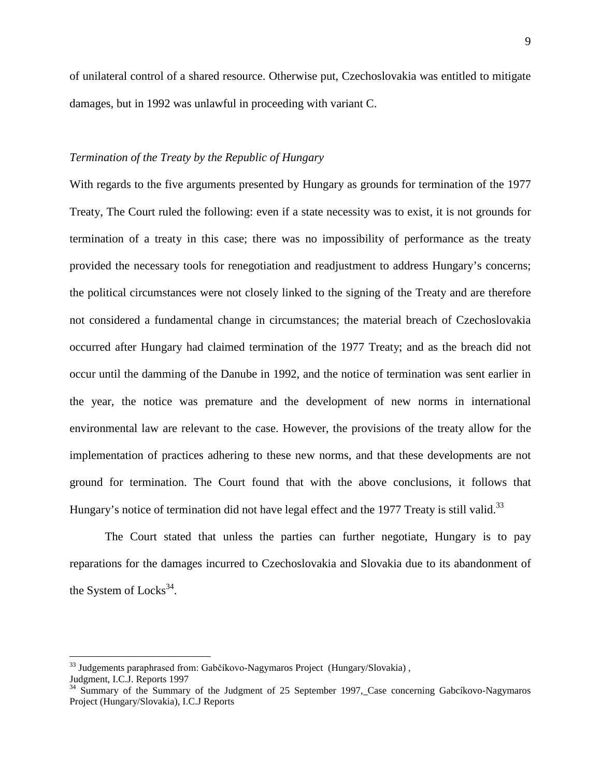of unilateral control of a shared resource. Otherwise put, Czechoslovakia was entitled to mitigate damages, but in 1992 was unlawful in proceeding with variant C.

## *Termination of the Treaty by the Republic of Hungary*

With regards to the five arguments presented by Hungary as grounds for termination of the 1977 Treaty, The Court ruled the following: even if a state necessity was to exist, it is not grounds for termination of a treaty in this case; there was no impossibility of performance as the treaty provided the necessary tools for renegotiation and readjustment to address Hungary's concerns; the political circumstances were not closely linked to the signing of the Treaty and are therefore not considered a fundamental change in circumstances; the material breach of Czechoslovakia occurred after Hungary had claimed termination of the 1977 Treaty; and as the breach did not occur until the damming of the Danube in 1992, and the notice of termination was sent earlier in the year, the notice was premature and the development of new norms in international environmental law are relevant to the case. However, the provisions of the treaty allow for the implementation of practices adhering to these new norms, and that these developments are not ground for termination. The Court found that with the above conclusions, it follows that Hungary's notice of termination did not have legal effect and the 1977 Treaty is still valid.<sup>33</sup>

The Court stated that unless the parties can further negotiate, Hungary is to pay reparations for the damages incurred to Czechoslovakia and Slovakia due to its abandonment of the System of  $Locks^{34}$ .

 $33$  Judgements paraphrased from: Gabčíkovo-Nagymaros Project (Hungary/Slovakia),

Judgment, I.C.J. Reports 1997

<sup>&</sup>lt;sup>34</sup> Summary of the Summary of the Judgment of 25 September 1997, Case concerning Gabcíkovo-Nagymaros Project (Hungary/Slovakia), I.C.J Reports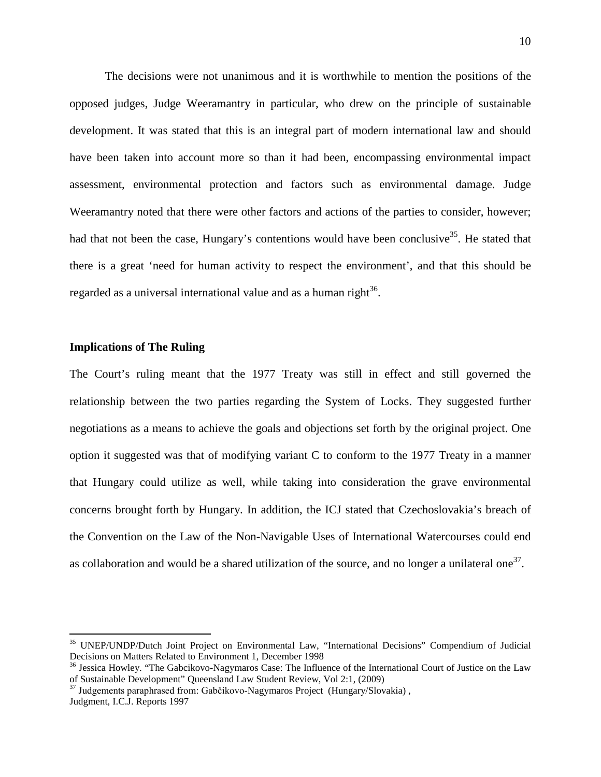The decisions were not unanimous and it is worthwhile to mention the positions of the opposed judges, Judge Weeramantry in particular, who drew on the principle of sustainable development. It was stated that this is an integral part of modern international law and should have been taken into account more so than it had been, encompassing environmental impact assessment, environmental protection and factors such as environmental damage. Judge Weeramantry noted that there were other factors and actions of the parties to consider, however; had that not been the case, Hungary's contentions would have been conclusive  $35$ . He stated that there is a great 'need for human activity to respect the environment', and that this should be regarded as a universal international value and as a human right $^{36}$ .

## **Implications of The Ruling**

The Court's ruling meant that the 1977 Treaty was still in effect and still governed the relationship between the two parties regarding the System of Locks. They suggested further negotiations as a means to achieve the goals and objections set forth by the original project. One option it suggested was that of modifying variant C to conform to the 1977 Treaty in a manner that Hungary could utilize as well, while taking into consideration the grave environmental concerns brought forth by Hungary. In addition, the ICJ stated that Czechoslovakia's breach of the Convention on the Law of the Non-Navigable Uses of International Watercourses could end as collaboration and would be a shared utilization of the source, and no longer a unilateral one<sup>37</sup>.

 <sup>35</sup> UNEP/UNDP/Dutch Joint Project on Environmental Law, "International Decisions" Compendium of Judicial Decisions on Matters Related to Environment 1, December 1998

<sup>&</sup>lt;sup>36</sup> Jessica Howley. "The Gabcikovo-Nagymaros Case: The Influence of the International Court of Justice on the Law of Sustainable Development" Queensland Law Student Review, Vol 2:1, (2009)

 $37$  Judgements paraphrased from: Gabčíkovo-Nagymaros Project (Hungary/Slovakia), Judgment, I.C.J. Reports 1997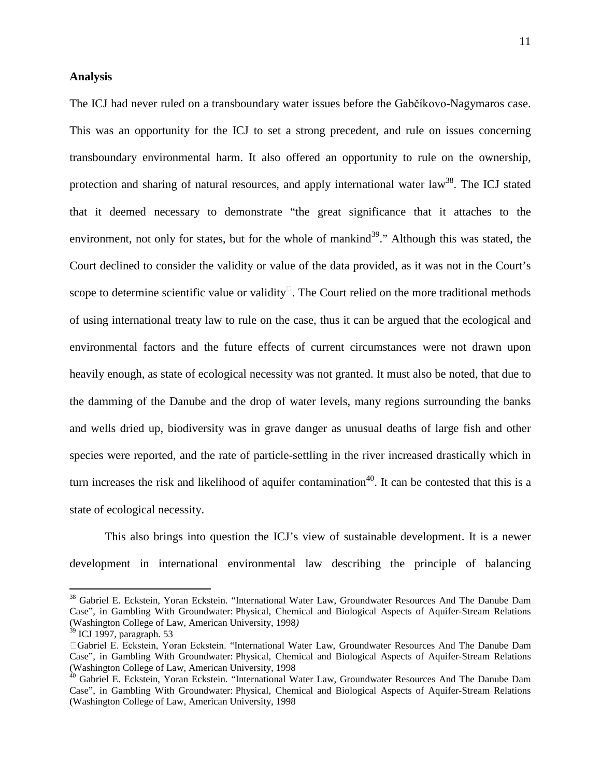#### **Analysis**

The ICJ had never ruled on a transboundary water issues before the Gabčíkovo-Nagymaros case. This was an opportunity for the ICJ to set a strong precedent, and rule on issues concerning transboundary environmental harm. It also offered an opportunity to rule on the ownership, protection and sharing of natural resources, and apply international water law<sup>38</sup>. The ICJ stated that it deemed necessary to demonstrate "the great significance that it attaches to the environment, not only for states, but for the whole of mankind<sup>39</sup>." Although this was stated, the Court declined to consider the validity or value of the data provided, as it was not in the Court's scope to determine scientific value or validity<sup> $\Box$ </sup>. The Court relied on the more traditional methods of using international treaty law to rule on the case, thus it can be argued that the ecological and environmental factors and the future effects of current circumstances were not drawn upon heavily enough, as state of ecological necessity was not granted. It must also be noted, that due to the damming of the Danube and the drop of water levels, many regions surrounding the banks and wells dried up, biodiversity was in grave danger as unusual deaths of large fish and other species were reported, and the rate of particle-settling in the river increased drastically which in turn increases the risk and likelihood of aquifer contamination<sup>40</sup>. It can be contested that this is a state of ecological necessity.

This also brings into question the ICJ's view of sustainable development. It is a newer development in international environmental law describing the principle of balancing

<sup>&</sup>lt;sup>38</sup> Gabriel E. Eckstein, Yoran Eckstein. "International Water Law, Groundwater Resources And The Danube Dam Case", in Gambling With Groundwater: Physical, Chemical and Biological Aspects of Aquifer-Stream Relations (Washington College of Law, American University, 1998*)*

<sup>39</sup> ICJ 1997, paragraph. 53

<sup>-</sup>Gabriel E. Eckstein, Yoran Eckstein. "International Water Law, Groundwater Resources And The Danube Dam Case", in Gambling With Groundwater: Physical, Chemical and Biological Aspects of Aquifer-Stream Relations (Washington College of Law, American University, 1998

<sup>&</sup>lt;sup>40</sup> Gabriel E. Eckstein, Yoran Eckstein. "International Water Law, Groundwater Resources And The Danube Dam Case", in Gambling With Groundwater: Physical, Chemical and Biological Aspects of Aquifer-Stream Relations (Washington College of Law, American University, 1998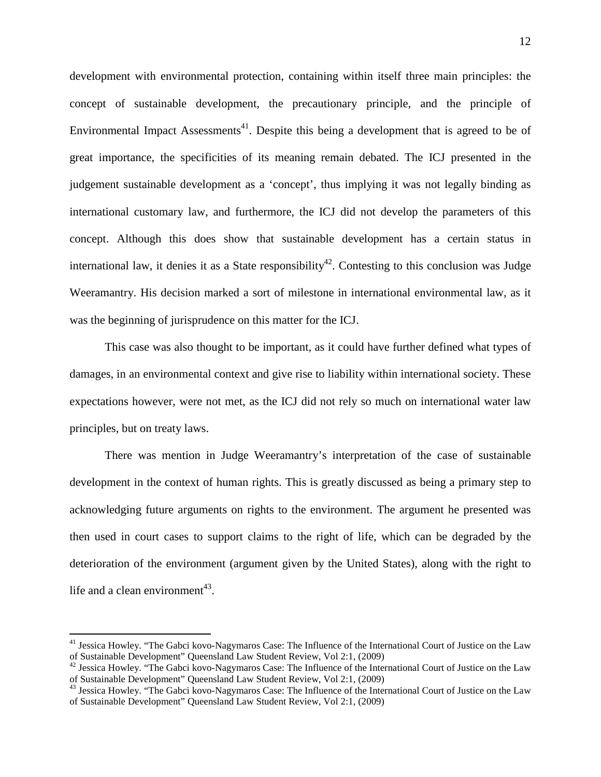development with environmental protection, containing within itself three main principles: the concept of sustainable development, the precautionary principle, and the principle of Environmental Impact Assessments<sup>41</sup>. Despite this being a development that is agreed to be of great importance, the specificities of its meaning remain debated. The ICJ presented in the judgement sustainable development as a 'concept', thus implying it was not legally binding as international customary law, and furthermore, the ICJ did not develop the parameters of this concept. Although this does show that sustainable development has a certain status in international law, it denies it as a State responsibility<sup>42</sup>. Contesting to this conclusion was Judge Weeramantry. His decision marked a sort of milestone in international environmental law, as it was the beginning of jurisprudence on this matter for the ICJ.

This case was also thought to be important, as it could have further defined what types of damages, in an environmental context and give rise to liability within international society. These expectations however, were not met, as the ICJ did not rely so much on international water law principles, but on treaty laws.

There was mention in Judge Weeramantry's interpretation of the case of sustainable development in the context of human rights. This is greatly discussed as being a primary step to acknowledging future arguments on rights to the environment. The argument he presented was then used in court cases to support claims to the right of life, which can be degraded by the deterioration of the environment (argument given by the United States), along with the right to life and a clean environment<sup>43</sup>.

<sup>&</sup>lt;sup>41</sup> Jessica Howley. "The Gabci kovo-Nagymaros Case: The Influence of the International Court of Justice on the Law of Sustainable Development" Queensland Law Student Review, Vol 2:1, (2009)

<sup>&</sup>lt;sup>42</sup> Jessica Howley. "The Gabci kovo-Nagymaros Case: The Influence of the International Court of Justice on the Law of Sustainable Development" Queensland Law Student Review, Vol 2:1, (2009)

<sup>&</sup>lt;sup>43</sup> Jessica Howley. "The Gabci kovo-Nagymaros Case: The Influence of the International Court of Justice on the Law of Sustainable Development" Queensland Law Student Review, Vol 2:1, (2009)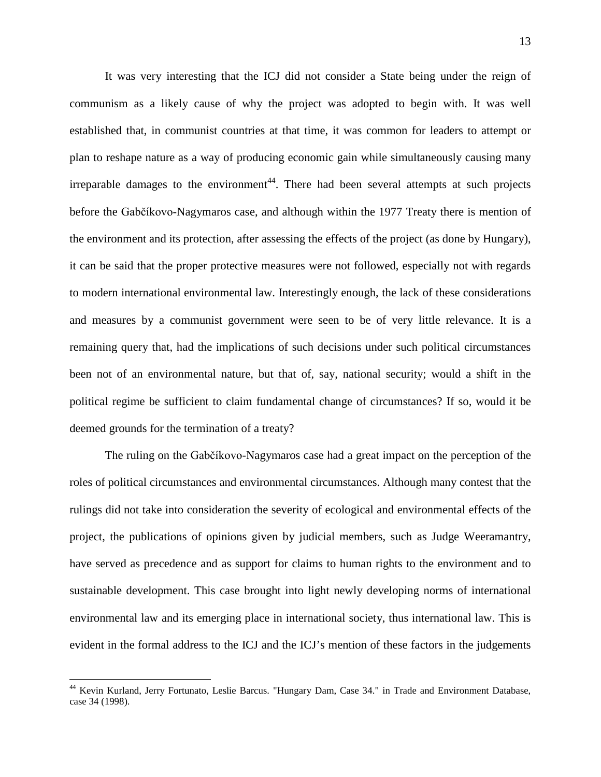It was very interesting that the ICJ did not consider a State being under the reign of communism as a likely cause of why the project was adopted to begin with. It was well established that, in communist countries at that time, it was common for leaders to attempt or plan to reshape nature as a way of producing economic gain while simultaneously causing many irreparable damages to the environment<sup>44</sup>. There had been several attempts at such projects before the Gabčíkovo-Nagymaros case, and although within the 1977 Treaty there is mention of the environment and its protection, after assessing the effects of the project (as done by Hungary), it can be said that the proper protective measures were not followed, especially not with regards to modern international environmental law. Interestingly enough, the lack of these considerations and measures by a communist government were seen to be of very little relevance. It is a remaining query that, had the implications of such decisions under such political circumstances been not of an environmental nature, but that of, say, national security; would a shift in the political regime be sufficient to claim fundamental change of circumstances? If so, would it be deemed grounds for the termination of a treaty?

The ruling on the Gabčíkovo-Nagymaros case had a great impact on the perception of the roles of political circumstances and environmental circumstances. Although many contest that the rulings did not take into consideration the severity of ecological and environmental effects of the project, the publications of opinions given by judicial members, such as Judge Weeramantry, have served as precedence and as support for claims to human rights to the environment and to sustainable development. This case brought into light newly developing norms of international environmental law and its emerging place in international society, thus international law. This is evident in the formal address to the ICJ and the ICJ's mention of these factors in the judgements

 <sup>44</sup> Kevin Kurland, Jerry Fortunato, Leslie Barcus. "Hungary Dam, Case 34." in Trade and Environment Database, case 34 (1998).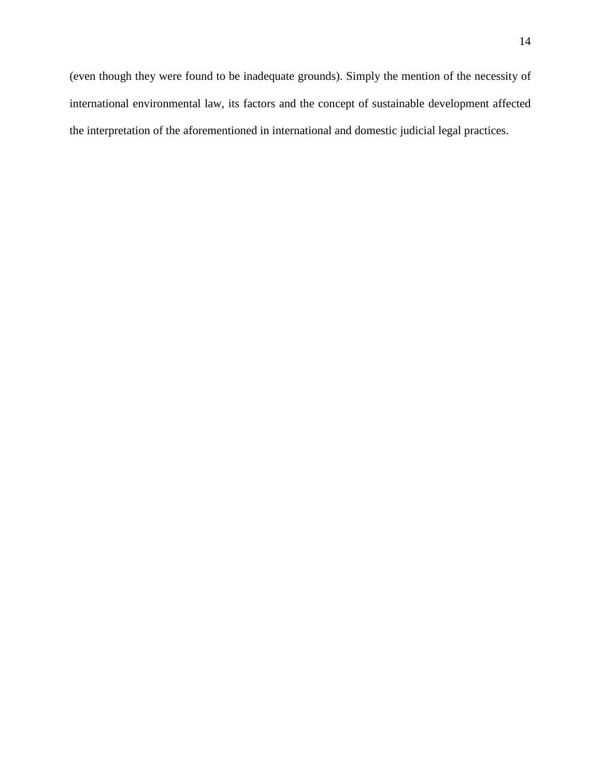(even though they were found to be inadequate grounds). Simply the mention of the necessity of international environmental law, its factors and the concept of sustainable development affected the interpretation of the aforementioned in international and domestic judicial legal practices.